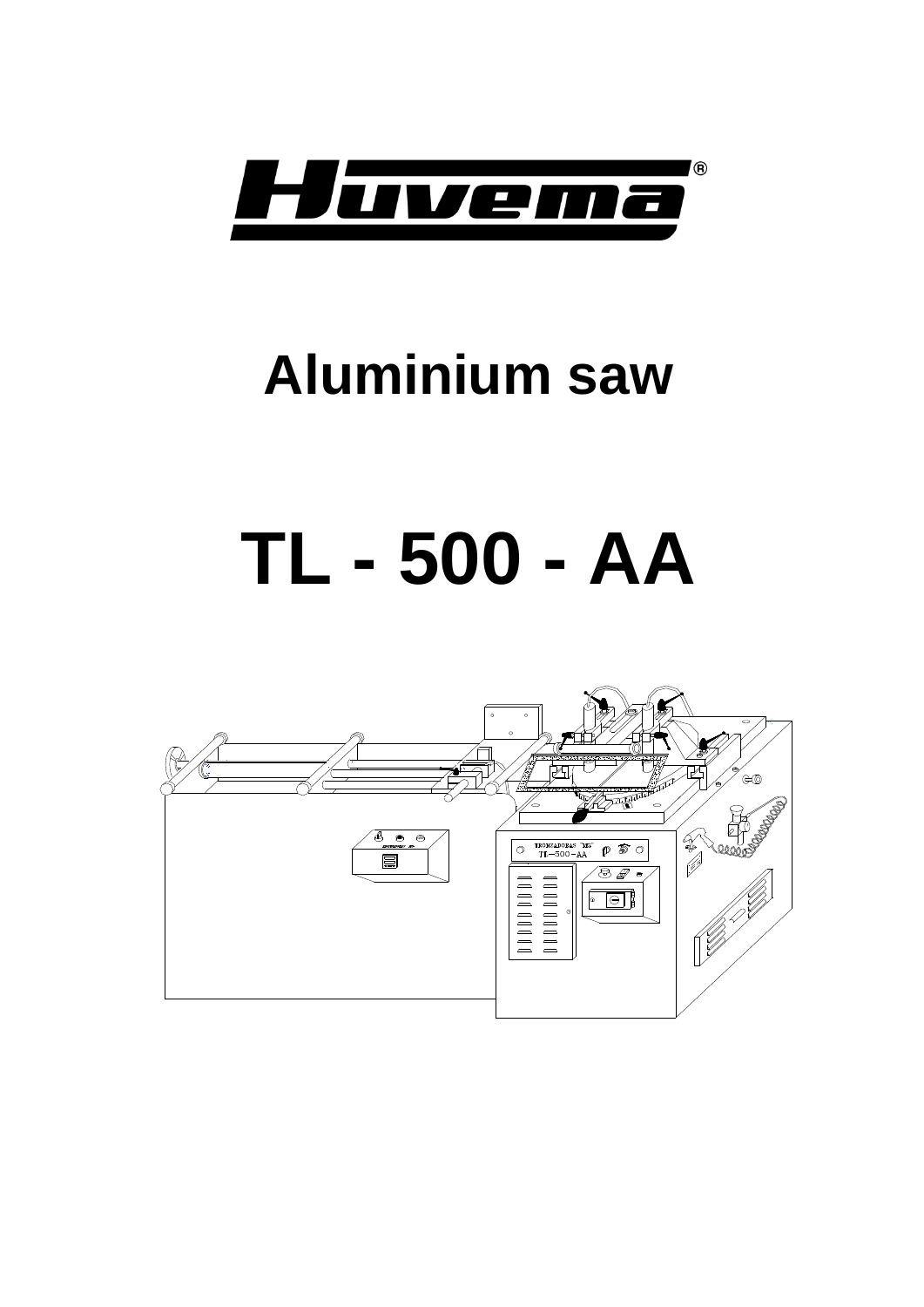

## **Aluminium saw**

# **TL - 500 - AA**

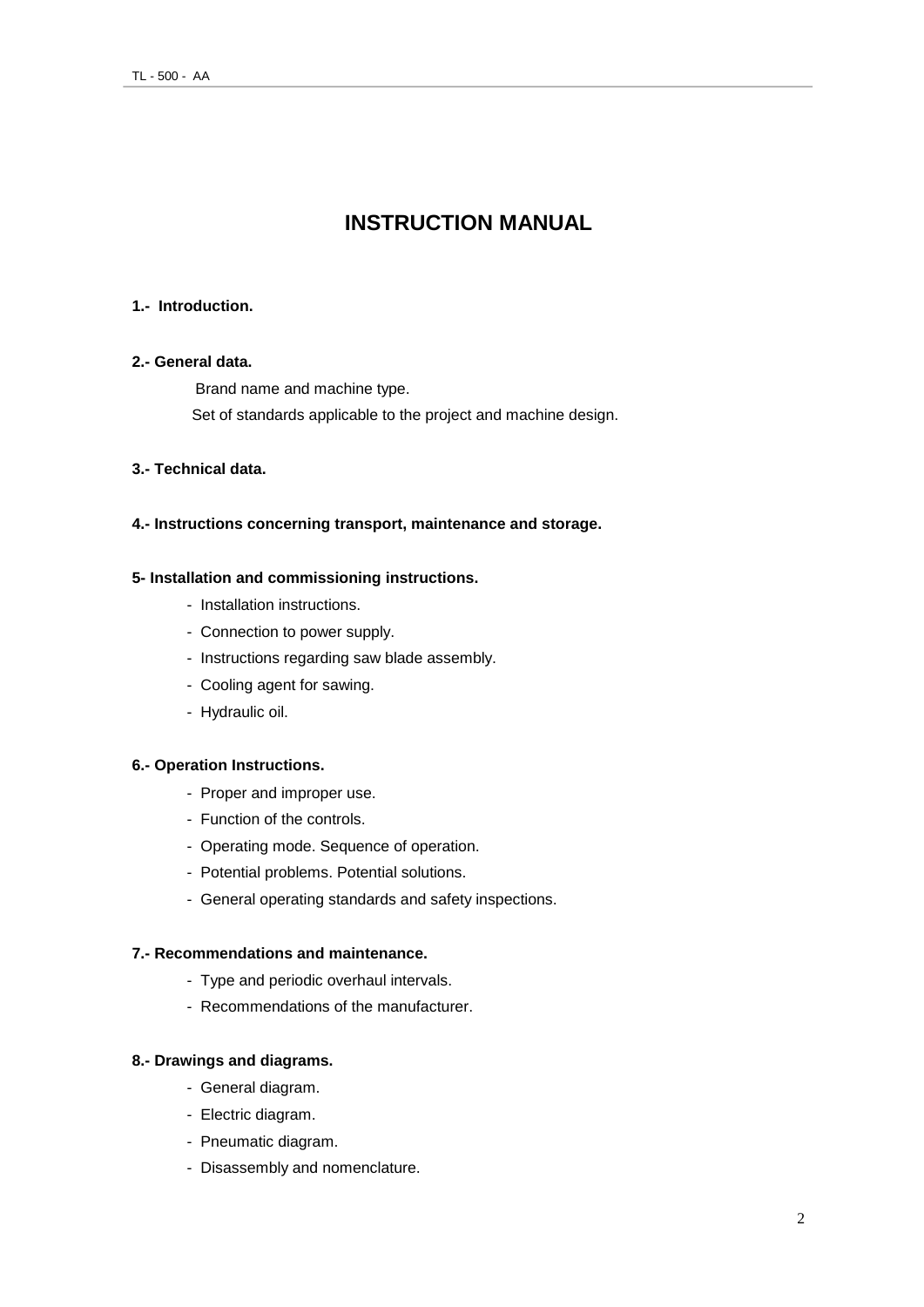## **INSTRUCTION MANUAL**

#### **1.- Introduction.**

#### **2.- General data.**

Brand name and machine type.

Set of standards applicable to the project and machine design.

#### **3.- Technical data.**

#### **4.- Instructions concerning transport, maintenance and storage.**

#### **5- Installation and commissioning instructions.**

- Installation instructions.
- Connection to power supply.
- Instructions regarding saw blade assembly.
- Cooling agent for sawing.
- Hydraulic oil.

#### **6.- Operation Instructions.**

- Proper and improper use.
- Function of the controls.
- Operating mode. Sequence of operation.
- Potential problems. Potential solutions.
- General operating standards and safety inspections.

#### **7.- Recommendations and maintenance.**

- Type and periodic overhaul intervals.
- Recommendations of the manufacturer.

#### **8.- Drawings and diagrams.**

- General diagram.
- Electric diagram.
- Pneumatic diagram.
- Disassembly and nomenclature.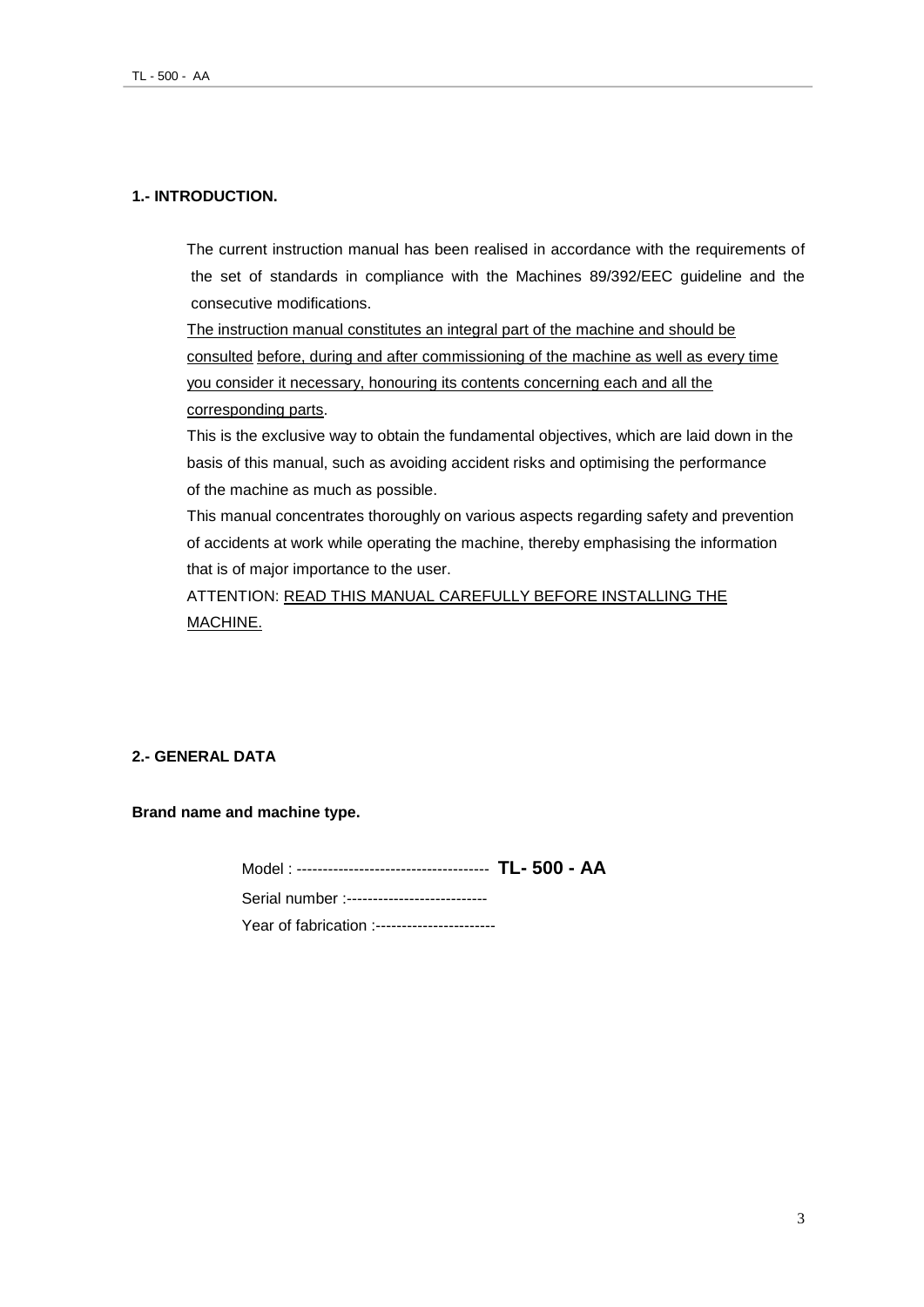#### **1.- INTRODUCTION.**

The current instruction manual has been realised in accordance with the requirements of the set of standards in compliance with the Machines 89/392/EEC guideline and the consecutive modifications.

The instruction manual constitutes an integral part of the machine and should be consulted before, during and after commissioning of the machine as well as every time you consider it necessary, honouring its contents concerning each and all the corresponding parts.

This is the exclusive way to obtain the fundamental objectives, which are laid down in the basis of this manual, such as avoiding accident risks and optimising the performance of the machine as much as possible.

This manual concentrates thoroughly on various aspects regarding safety and prevention of accidents at work while operating the machine, thereby emphasising the information that is of major importance to the user.

ATTENTION: READ THIS MANUAL CAREFULLY BEFORE INSTALLING THE MACHINE.

#### **2.- GENERAL DATA**

**Brand name and machine type.**

Model : ------------------------------------- **TL- 500 - AA** Serial number :---------------------------Year of fabrication :-----------------------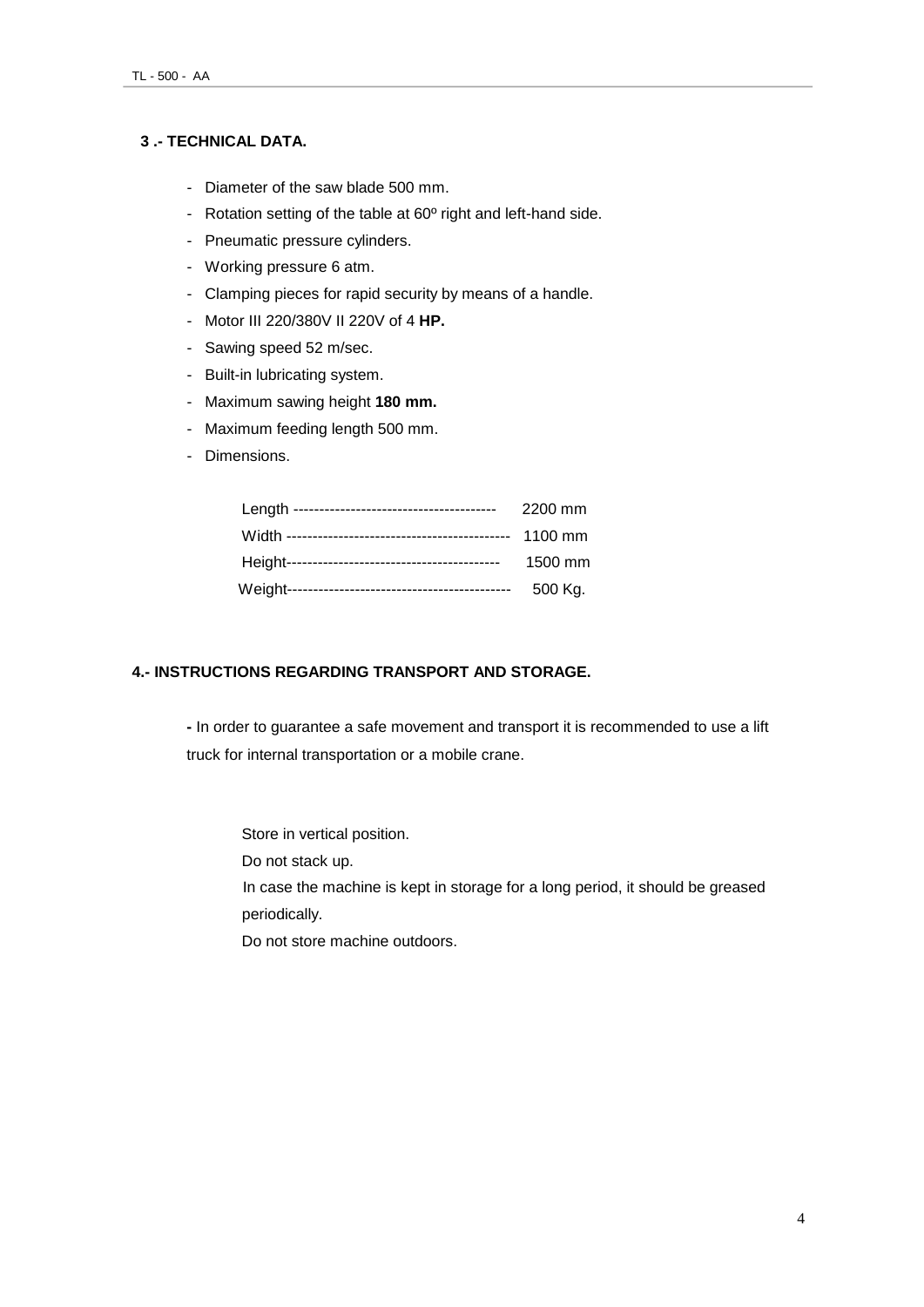#### **3 .- TECHNICAL DATA.**

- Diameter of the saw blade 500 mm.
- Rotation setting of the table at 60º right and left-hand side.
- Pneumatic pressure cylinders.
- Working pressure 6 atm.
- Clamping pieces for rapid security by means of a handle.
- Motor III 220/380V II 220V of 4 **HP.**
- Sawing speed 52 m/sec.
- Built-in lubricating system.
- Maximum sawing height **180 mm.**
- Maximum feeding length 500 mm.
- Dimensions.

| 2200 mm |
|---------|
| 1100 mm |
| 1500 mm |
| 500 Kg. |

#### **4.- INSTRUCTIONS REGARDING TRANSPORT AND STORAGE.**

**-** In order to guarantee a safe movement and transport it is recommended to use a lift truck for internal transportation or a mobile crane.

Store in vertical position.

Do not stack up.

In case the machine is kept in storage for a long period, it should be greased periodically.

Do not store machine outdoors.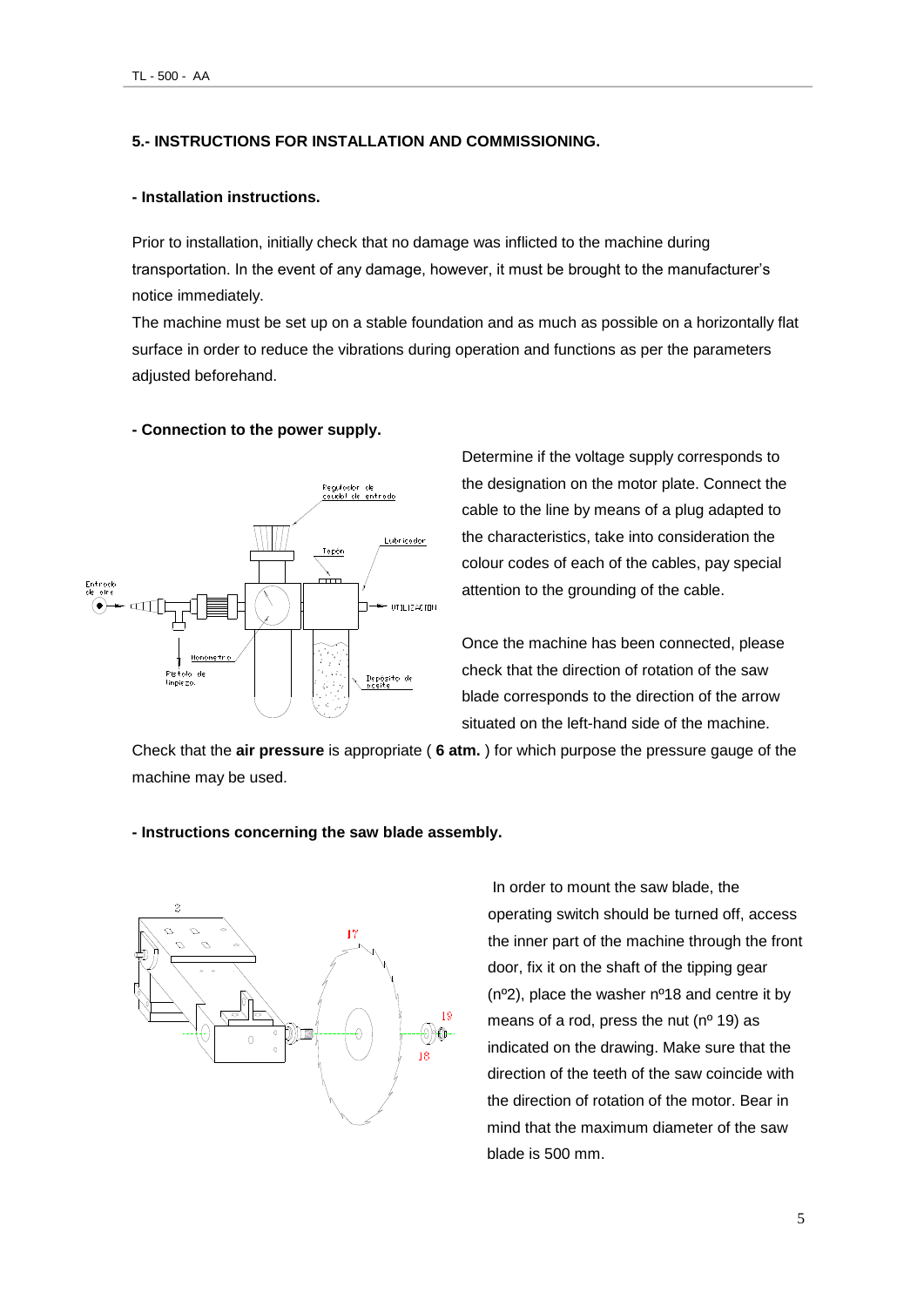#### **5.- INSTRUCTIONS FOR INSTALLATION AND COMMISSIONING.**

#### **- Installation instructions.**

Prior to installation, initially check that no damage was inflicted to the machine during transportation. In the event of any damage, however, it must be brought to the manufacturer's notice immediately.

The machine must be set up on a stable foundation and as much as possible on a horizontally flat surface in order to reduce the vibrations during operation and functions as per the parameters adjusted beforehand.

#### **- Connection to the power supply.**



Determine if the voltage supply corresponds to the designation on the motor plate. Connect the cable to the line by means of a plug adapted to the characteristics, take into consideration the colour codes of each of the cables, pay special attention to the grounding of the cable.

Once the machine has been connected, please check that the direction of rotation of the saw blade corresponds to the direction of the arrow situated on the left-hand side of the machine.

Check that the **air pressure** is appropriate ( **6 atm.** ) for which purpose the pressure gauge of the machine may be used.



#### **- Instructions concerning the saw blade assembly.**

In order to mount the saw blade, the operating switch should be turned off, access the inner part of the machine through the front door, fix it on the shaft of the tipping gear (nº2), place the washer nº18 and centre it by means of a rod, press the nut ( $n^{\circ}$  19) as indicated on the drawing. Make sure that the direction of the teeth of the saw coincide with the direction of rotation of the motor. Bear in mind that the maximum diameter of the saw blade is 500 mm.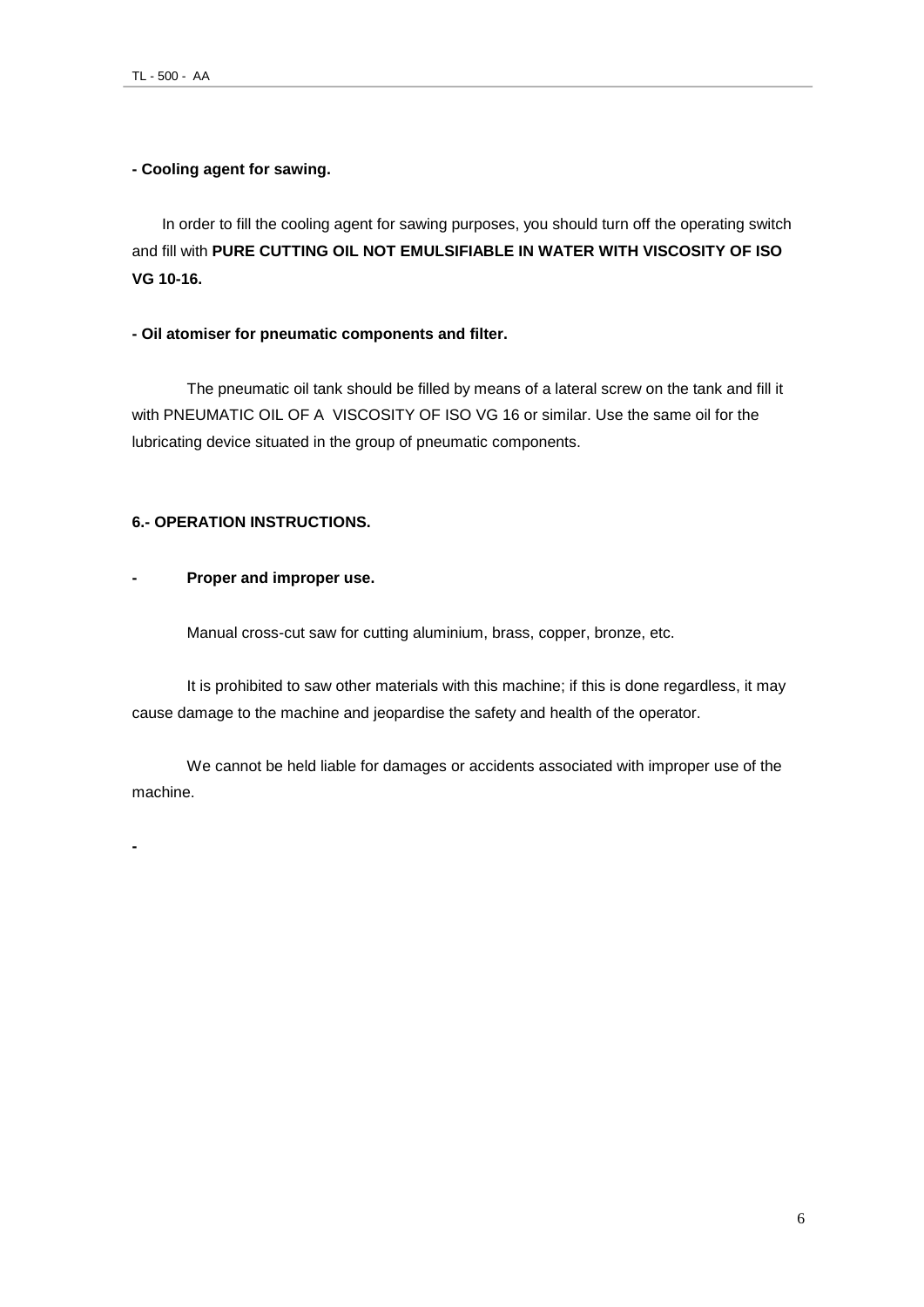#### **- Cooling agent for sawing.**

In order to fill the cooling agent for sawing purposes, you should turn off the operating switch and fill with **PURE CUTTING OIL NOT EMULSIFIABLE IN WATER WITH VISCOSITY OF ISO VG 10-16.**

#### **- Oil atomiser for pneumatic components and filter.**

The pneumatic oil tank should be filled by means of a lateral screw on the tank and fill it with PNEUMATIC OIL OF A VISCOSITY OF ISO VG 16 or similar. Use the same oil for the lubricating device situated in the group of pneumatic components.

#### **6.- OPERATION INSTRUCTIONS.**

#### **- Proper and improper use.**

Manual cross-cut saw for cutting aluminium, brass, copper, bronze, etc.

It is prohibited to saw other materials with this machine; if this is done regardless, it may cause damage to the machine and jeopardise the safety and health of the operator.

We cannot be held liable for damages or accidents associated with improper use of the machine.

**-**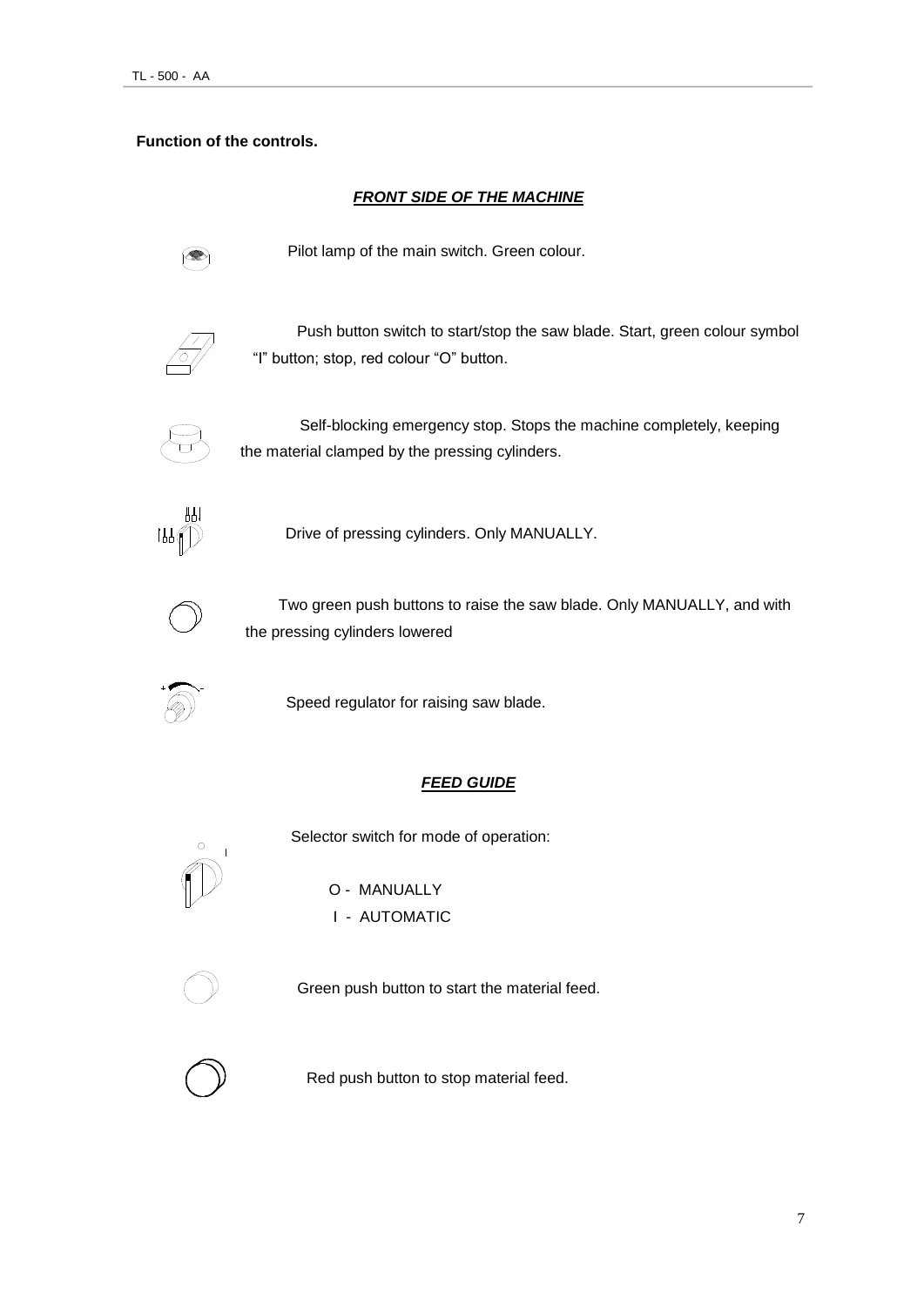#### **Function of the controls.**

#### **FRONT SIDE OF THE MACHINE**



Pilot lamp of the main switch. Green colour.



 Push button switch to start/stop the saw blade. Start, green colour symbol "I" button; stop, red colour "O" button.



Self-blocking emergency stop. Stops the machine completely, keeping the material clamped by the pressing cylinders.



Drive of pressing cylinders. Only MANUALLY.



Two green push buttons to raise the saw blade. Only MANUALLY, and with the pressing cylinders lowered



Speed regulator for raising saw blade.

#### *FEED GUIDE*

Selector switch for mode of operation:



O - MANUALLY

I - AUTOMATIC



Green push button to start the material feed.



Red push button to stop material feed.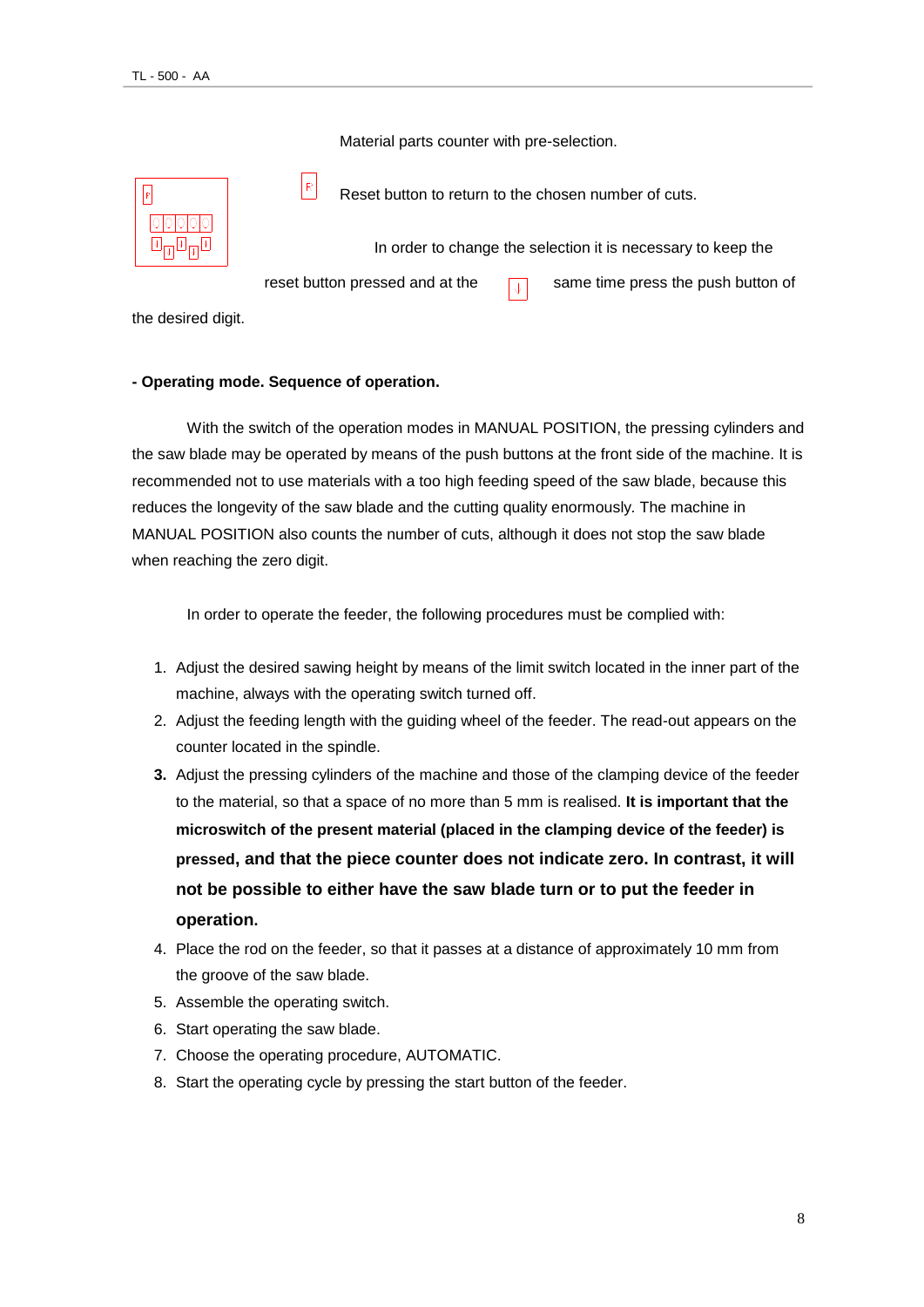Material parts counter with pre-selection.



Reset button to return to the chosen number of cuts.

In order to change the selection it is necessary to keep the

reset button pressed and at the  $\sqrt{1}$  same time press the push button of

the desired digit.

#### **- Operating mode. Sequence of operation.**

 $\lvert \mathsf{R} \rvert$ 

With the switch of the operation modes in MANUAL POSITION, the pressing cylinders and the saw blade may be operated by means of the push buttons at the front side of the machine. It is recommended not to use materials with a too high feeding speed of the saw blade, because this reduces the longevity of the saw blade and the cutting quality enormously. The machine in MANUAL POSITION also counts the number of cuts, although it does not stop the saw blade when reaching the zero digit.

In order to operate the feeder, the following procedures must be complied with:

- 1. Adjust the desired sawing height by means of the limit switch located in the inner part of the machine, always with the operating switch turned off.
- 2. Adjust the feeding length with the guiding wheel of the feeder. The read-out appears on the counter located in the spindle.
- **3.** Adjust the pressing cylinders of the machine and those of the clamping device of the feeder to the material, so that a space of no more than 5 mm is realised. **It is important that the microswitch of the present material (placed in the clamping device of the feeder) is pressed, and that the piece counter does not indicate zero. In contrast, it will not be possible to either have the saw blade turn or to put the feeder in operation.**
- 4. Place the rod on the feeder, so that it passes at a distance of approximately 10 mm from the groove of the saw blade.
- 5. Assemble the operating switch.
- 6. Start operating the saw blade.
- 7. Choose the operating procedure, AUTOMATIC.
- 8. Start the operating cycle by pressing the start button of the feeder.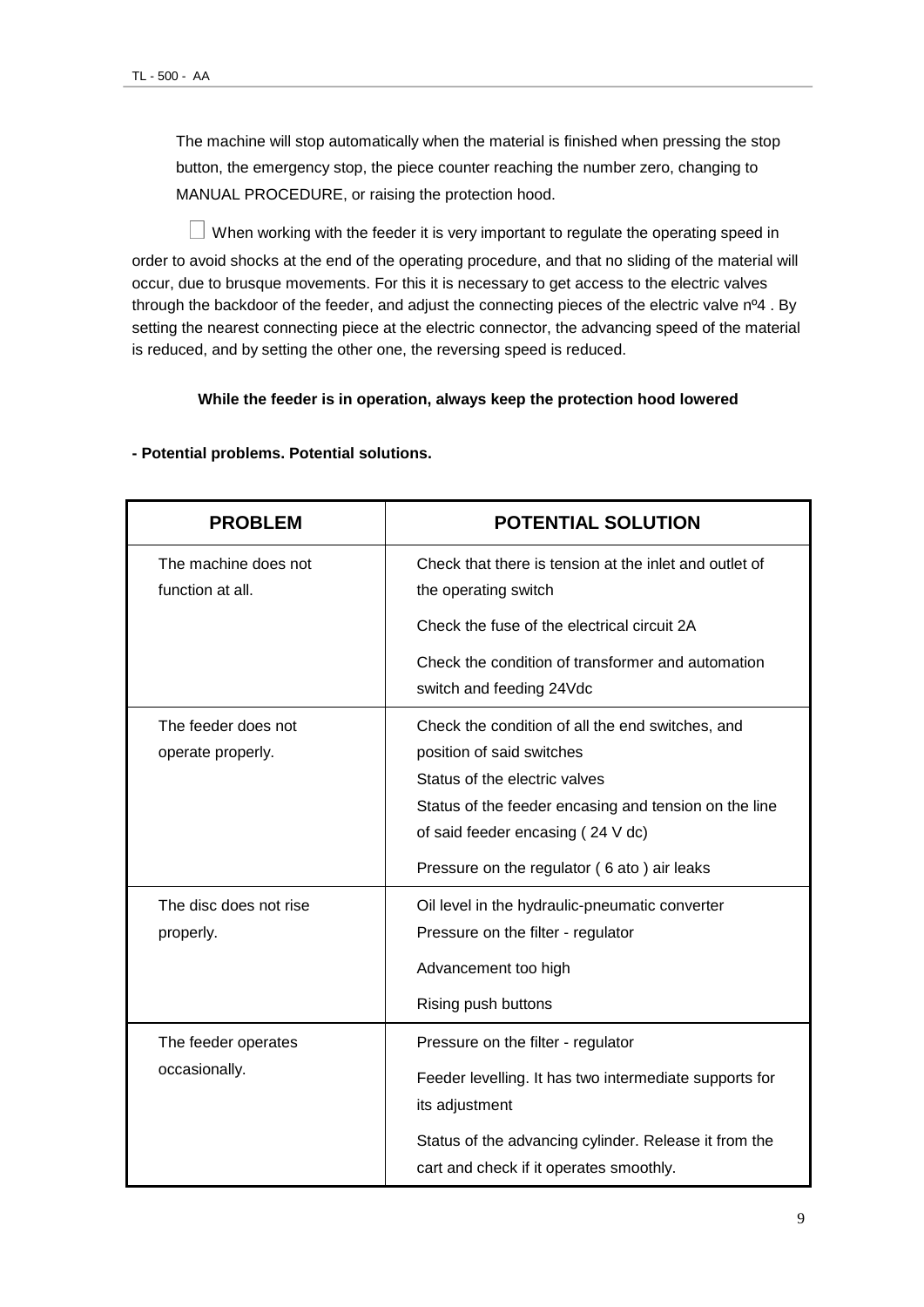The machine will stop automatically when the material is finished when pressing the stop button, the emergency stop, the piece counter reaching the number zero, changing to MANUAL PROCEDURE, or raising the protection hood.

 $\Box$  When working with the feeder it is very important to regulate the operating speed in order to avoid shocks at the end of the operating procedure, and that no sliding of the material will occur, due to brusque movements. For this it is necessary to get access to the electric valves through the backdoor of the feeder, and adjust the connecting pieces of the electric valve nº4 . By setting the nearest connecting piece at the electric connector, the advancing speed of the material is reduced, and by setting the other one, the reversing speed is reduced.

#### **While the feeder is in operation, always keep the protection hood lowered**

| <b>PROBLEM</b>                           | <b>POTENTIAL SOLUTION</b>                                                                                                                                                                                          |  |  |  |  |
|------------------------------------------|--------------------------------------------------------------------------------------------------------------------------------------------------------------------------------------------------------------------|--|--|--|--|
| The machine does not<br>function at all. | Check that there is tension at the inlet and outlet of<br>the operating switch                                                                                                                                     |  |  |  |  |
|                                          | Check the fuse of the electrical circuit 2A                                                                                                                                                                        |  |  |  |  |
|                                          | Check the condition of transformer and automation<br>switch and feeding 24Vdc                                                                                                                                      |  |  |  |  |
| The feeder does not<br>operate properly. | Check the condition of all the end switches, and<br>position of said switches<br>Status of the electric valves<br>Status of the feeder encasing and tension on the line<br>of said feeder encasing (24 V dc)       |  |  |  |  |
|                                          | Pressure on the regulator (6 ato) air leaks                                                                                                                                                                        |  |  |  |  |
| The disc does not rise<br>properly.      | Oil level in the hydraulic-pneumatic converter<br>Pressure on the filter - regulator<br>Advancement too high<br>Rising push buttons                                                                                |  |  |  |  |
| The feeder operates<br>occasionally.     | Pressure on the filter - regulator<br>Feeder levelling. It has two intermediate supports for<br>its adjustment<br>Status of the advancing cylinder. Release it from the<br>cart and check if it operates smoothly. |  |  |  |  |

#### **- Potential problems. Potential solutions.**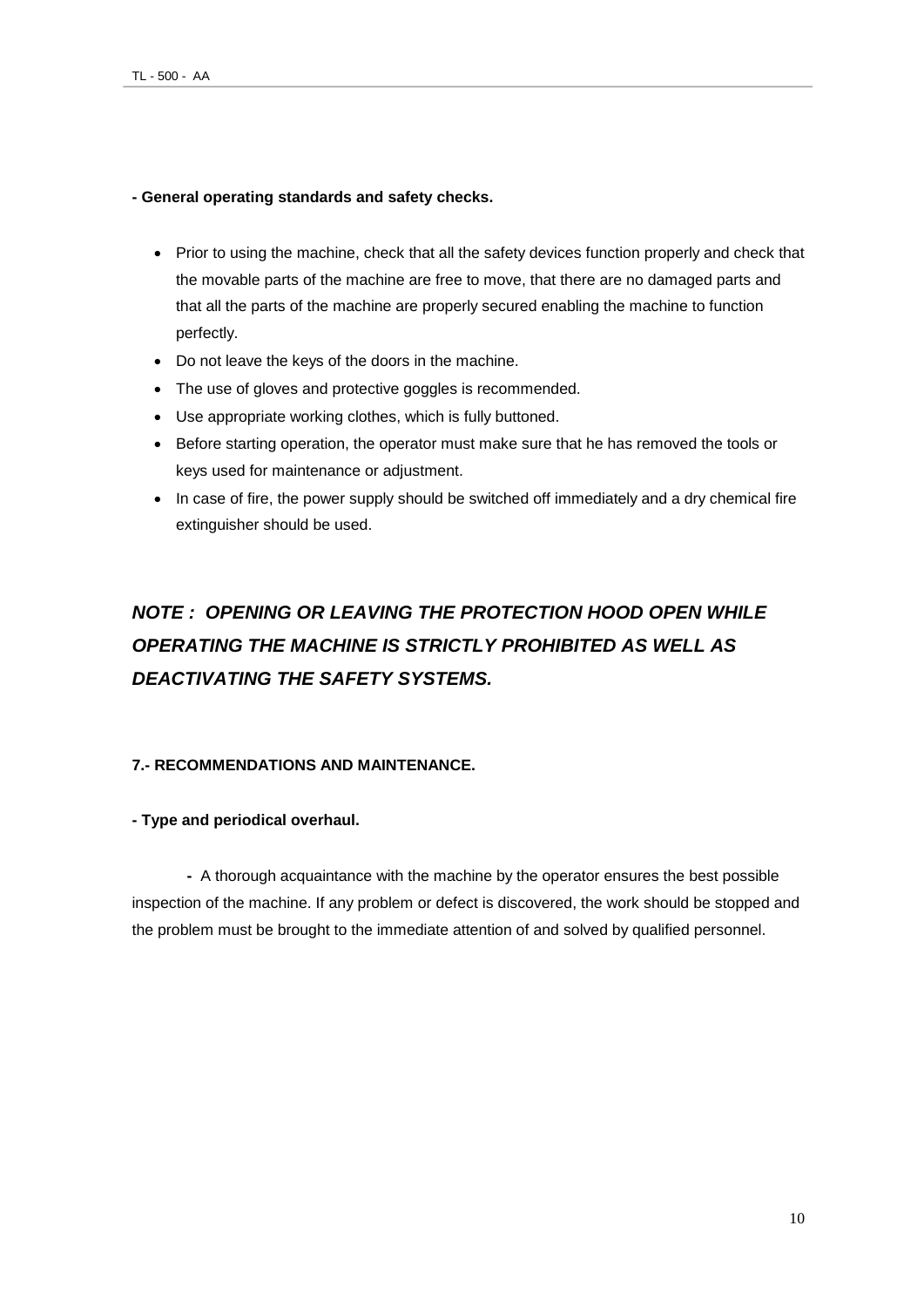#### **- General operating standards and safety checks.**

- Prior to using the machine, check that all the safety devices function properly and check that the movable parts of the machine are free to move, that there are no damaged parts and that all the parts of the machine are properly secured enabling the machine to function perfectly.
- Do not leave the keys of the doors in the machine.
- The use of gloves and protective goggles is recommended.
- Use appropriate working clothes, which is fully buttoned.
- **Before starting operation, the operator must make sure that he has removed the tools or** keys used for maintenance or adjustment.
- In case of fire, the power supply should be switched off immediately and a dry chemical fire extinguisher should be used.

## *NOTE : OPENING OR LEAVING THE PROTECTION HOOD OPEN WHILE OPERATING THE MACHINE IS STRICTLY PROHIBITED AS WELL AS DEACTIVATING THE SAFETY SYSTEMS.*

#### **7.- RECOMMENDATIONS AND MAINTENANCE.**

#### **- Type and periodical overhaul.**

**-** A thorough acquaintance with the machine by the operator ensures the best possible inspection of the machine. If any problem or defect is discovered, the work should be stopped and the problem must be brought to the immediate attention of and solved by qualified personnel.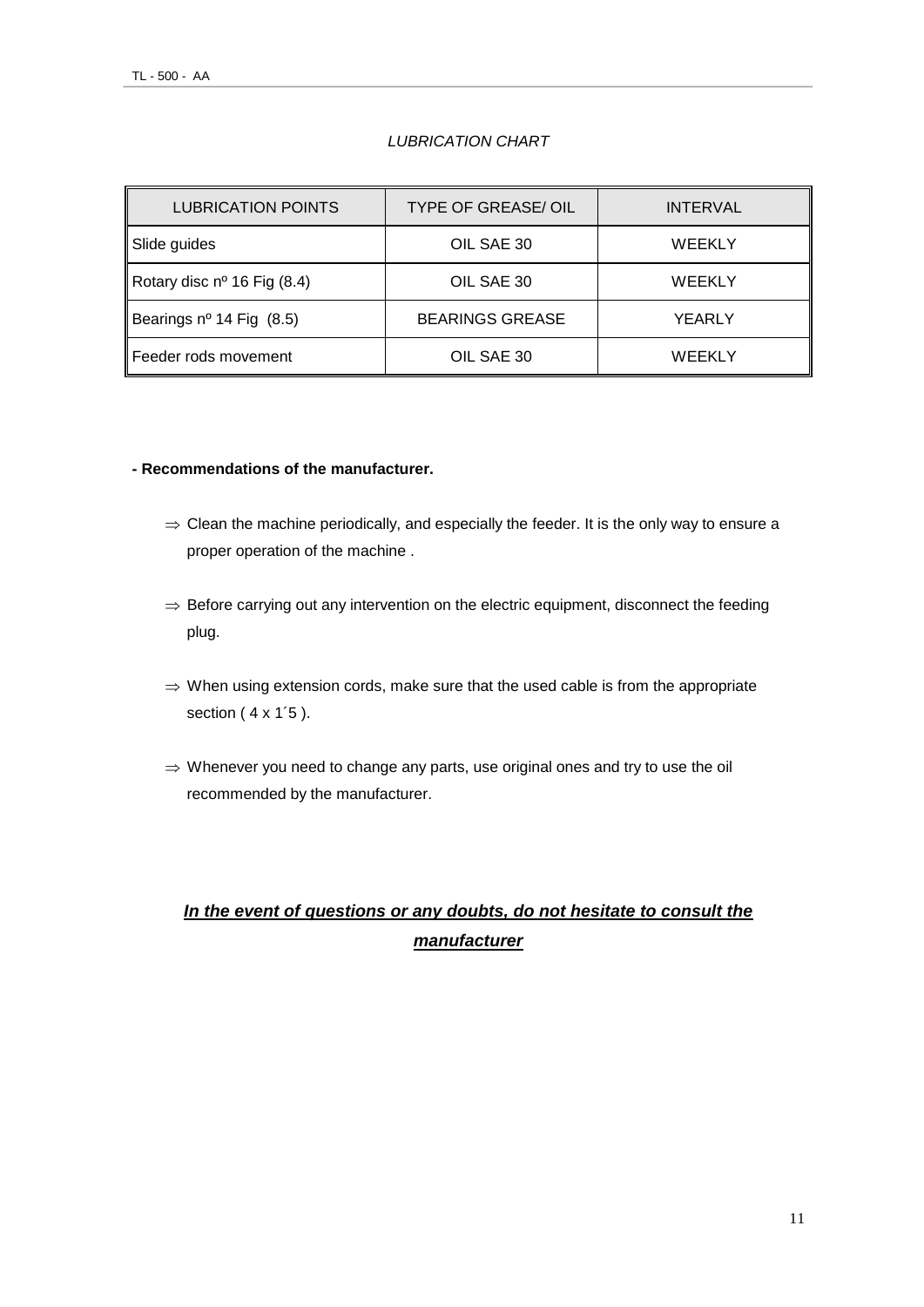#### *LUBRICATION CHART*

| <b>LUBRICATION POINTS</b>            | <b>TYPE OF GREASE/ OIL</b> | <b>INTERVAL</b> |  |
|--------------------------------------|----------------------------|-----------------|--|
| Slide guides                         | OIL SAE 30                 | <b>WEEKLY</b>   |  |
| Rotary disc $n^{\circ}$ 16 Fig (8.4) | OIL SAE 30                 | WEEKLY          |  |
| Bearings nº 14 Fig (8.5)             | <b>BEARINGS GREASE</b>     | YEARLY          |  |
| l Feeder rods movement               | OIL SAE 30                 | WEEKLY          |  |

#### **- Recommendations of the manufacturer.**

- $\Rightarrow$  Clean the machine periodically, and especially the feeder. It is the only way to ensure a proper operation of the machine .
- $\Rightarrow$  Before carrying out any intervention on the electric equipment, disconnect the feeding plug.
- $\Rightarrow$  When using extension cords, make sure that the used cable is from the appropriate section (  $4 \times 1'5$  ).
- $\Rightarrow$  Whenever you need to change any parts, use original ones and try to use the oil recommended by the manufacturer.

## *In the event of questions or any doubts, do not hesitate to consult the manufacturer*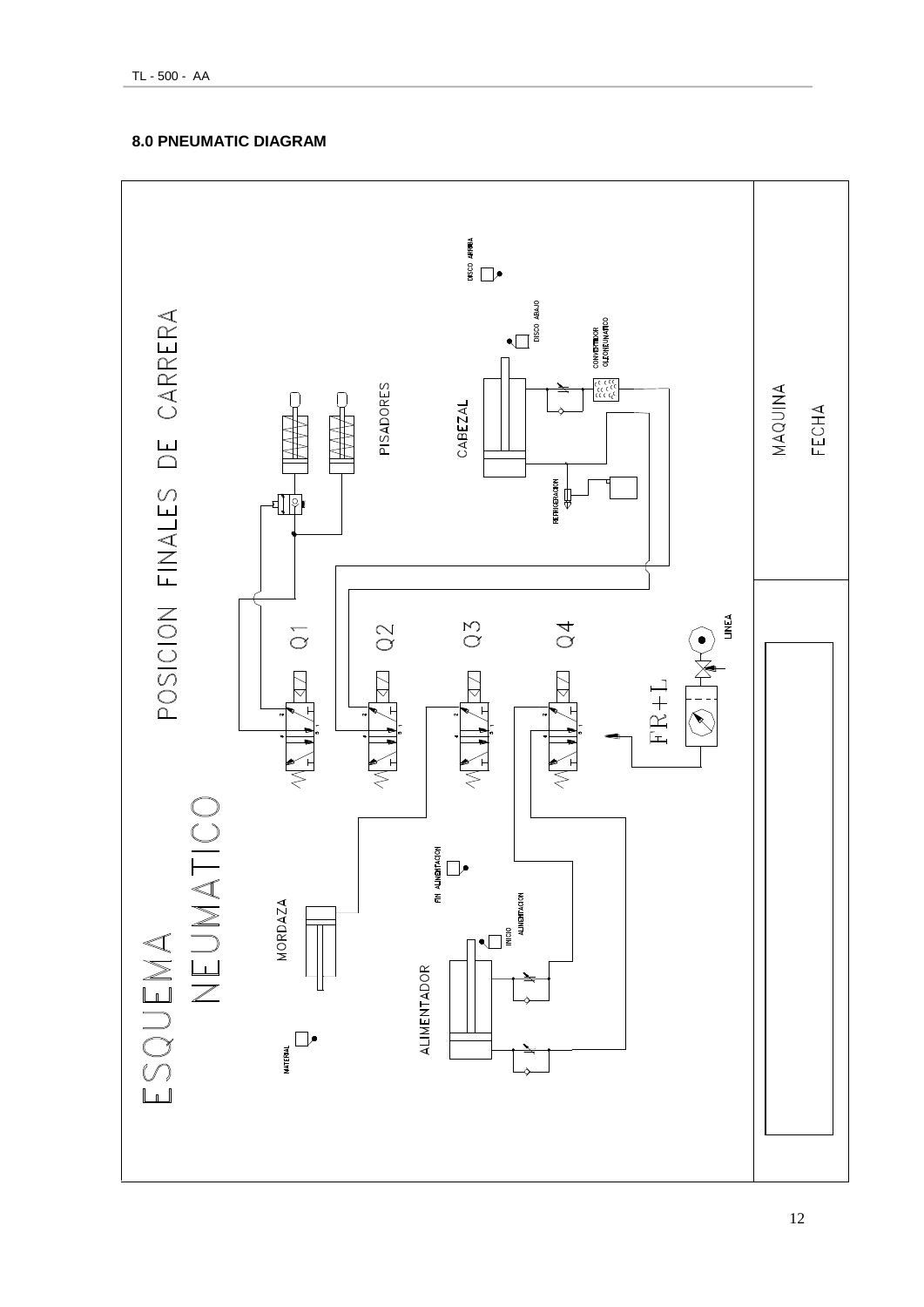

TL - 500 - AA

#### **8.0 PNEUMATIC DIAGRAM**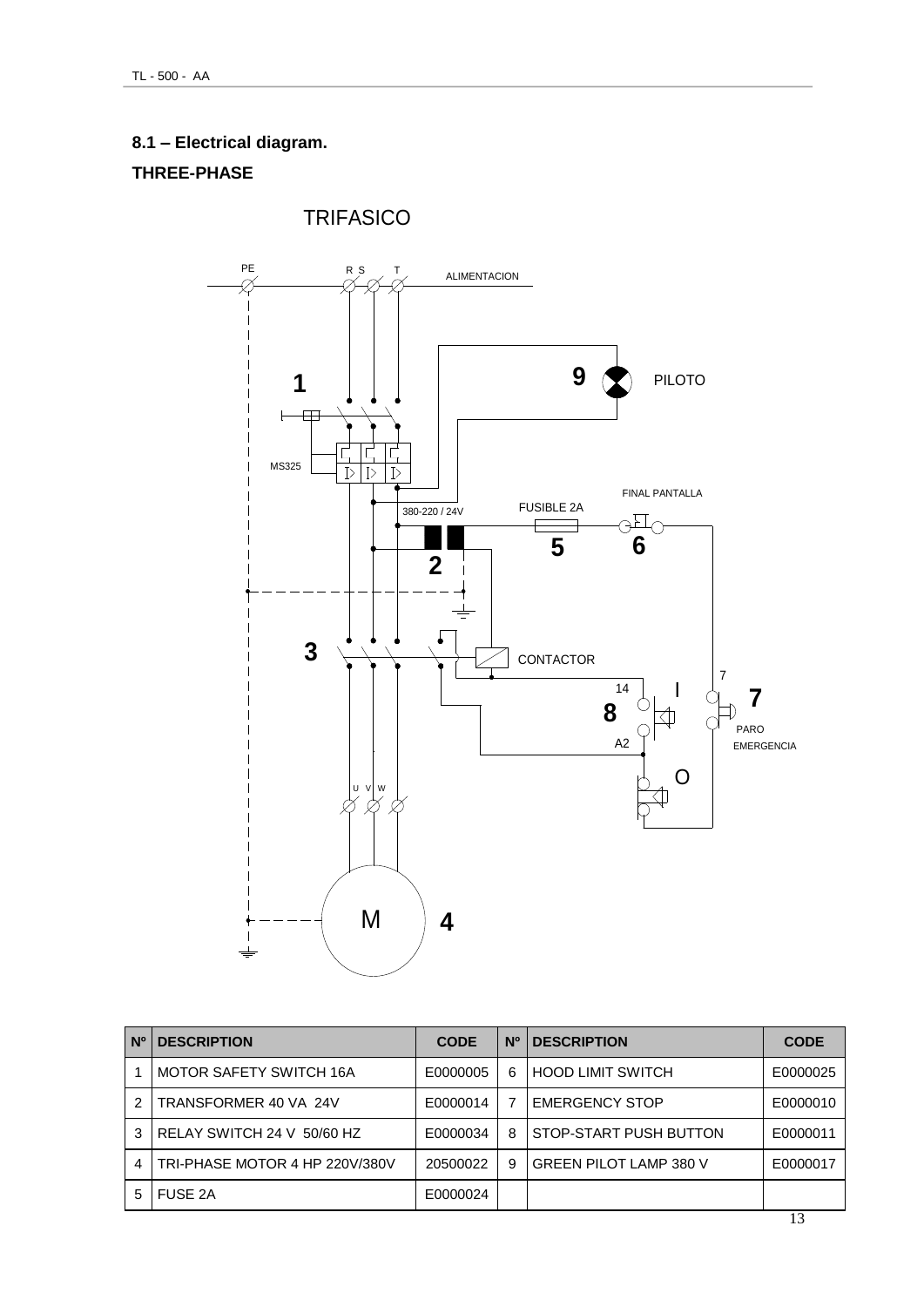## **8.1 – Electrical diagram.**

### **THREE-PHASE**



| <b>N°</b> | <b>DESCRIPTION</b>             | <b>CODE</b> | N <sub>0</sub> | <b>DESCRIPTION</b>            | <b>CODE</b> |
|-----------|--------------------------------|-------------|----------------|-------------------------------|-------------|
|           | MOTOR SAFETY SWITCH 16A        | E0000005    | 6              | <b>HOOD LIMIT SWITCH</b>      | E0000025    |
|           | TRANSFORMER 40 VA 24V          | E0000014    | 7              | <b>EMERGENCY STOP</b>         | E0000010    |
| 3         | RELAY SWITCH 24 V 50/60 HZ     | E0000034    | 8              | STOP-START PUSH BUTTON        | E0000011    |
| 4         | TRI-PHASE MOTOR 4 HP 220V/380V | 20500022    | 9              | <b>GREEN PILOT LAMP 380 V</b> | E0000017    |
| 5         | <b>FUSE 2A</b>                 | E0000024    |                |                               |             |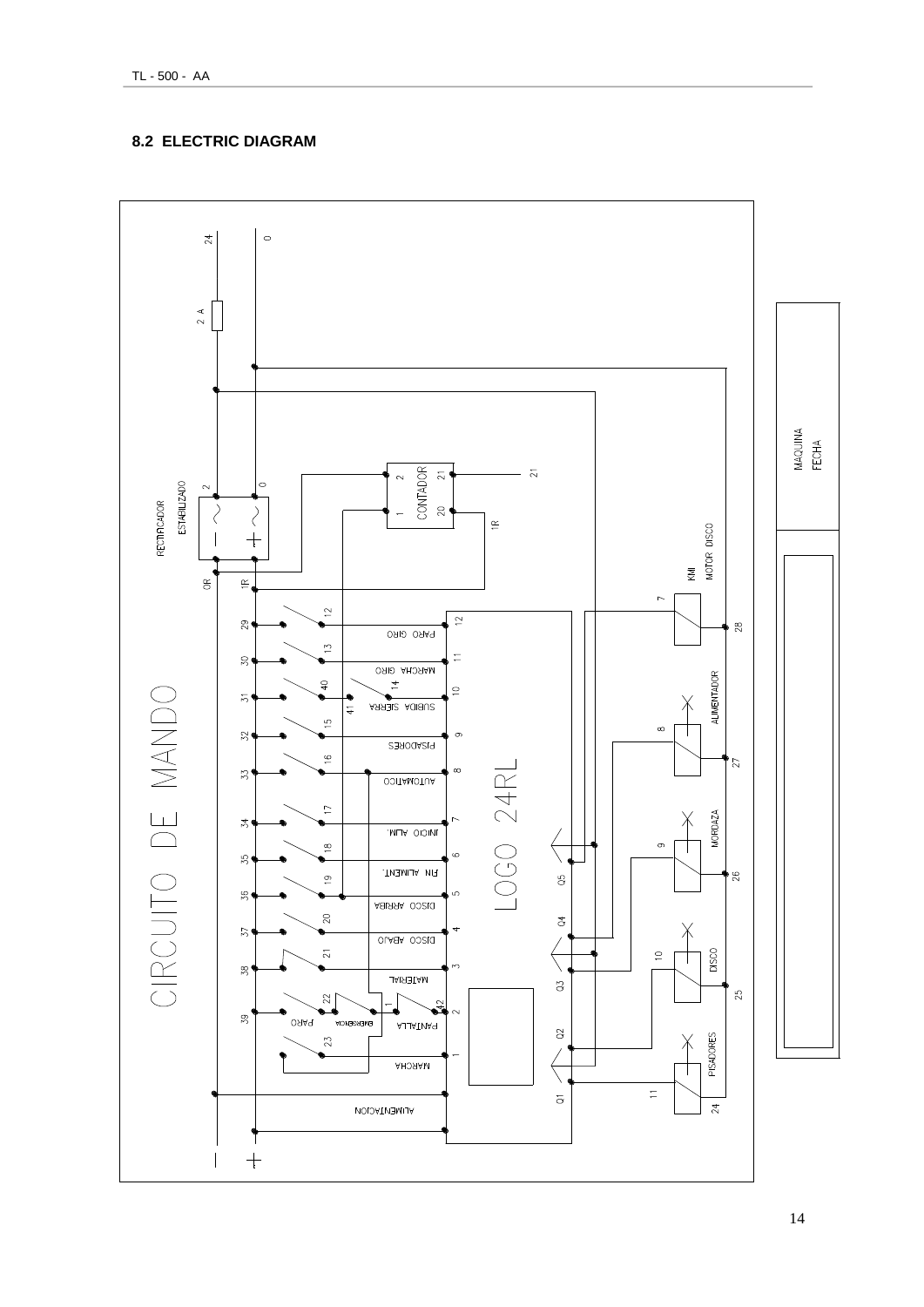#### **8.2 ELECTRIC DIAGRAM**

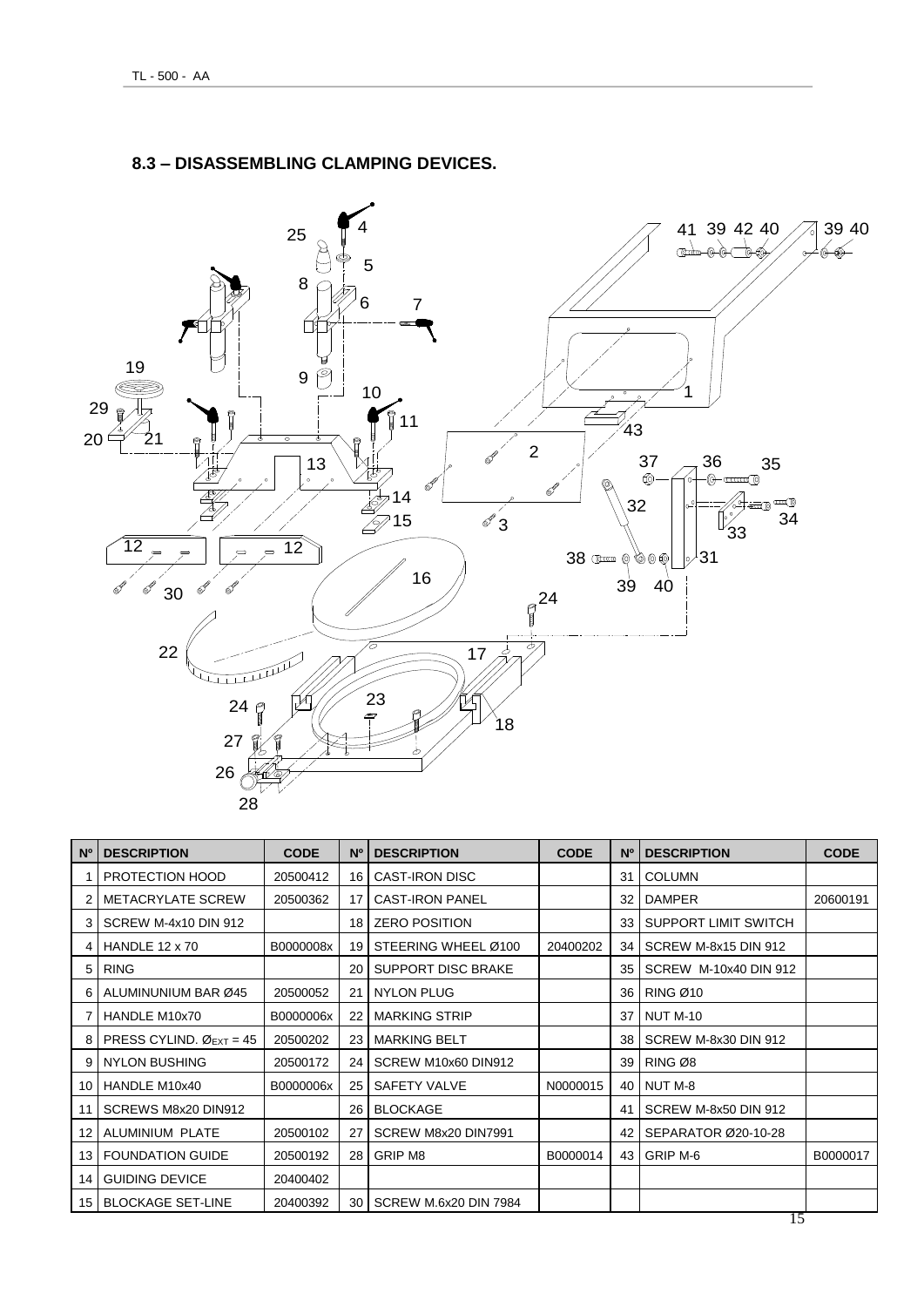

#### **8.3 – DISASSEMBLING CLAMPING DEVICES.**

| N <sup>o</sup> | <b>DESCRIPTION</b>                              | <b>CODE</b> | N <sup>o</sup> | <b>DESCRIPTION</b>           | <b>CODE</b> | N <sup>o</sup> | <b>DESCRIPTION</b>    | <b>CODE</b> |
|----------------|-------------------------------------------------|-------------|----------------|------------------------------|-------------|----------------|-----------------------|-------------|
|                | PROTECTION HOOD                                 | 20500412    | 16             | <b>CAST-IRON DISC</b>        |             | 31             | <b>COLUMN</b>         |             |
| 2              | <b>METACRYLATE SCREW</b>                        | 20500362    | 17             | <b>CAST-IRON PANEL</b>       |             | 32             | <b>DAMPER</b>         | 20600191    |
| 3              | SCREW M-4x10 DIN 912                            |             | 18             | <b>ZERO POSITION</b>         |             | 33             | SUPPORT LIMIT SWITCH  |             |
| 4              | HANDLE 12 x 70                                  | B0000008x   | 19             | STEERING WHEEL Ø100          | 20400202    | 34             | SCREW M-8x15 DIN 912  |             |
| 5              | <b>RING</b>                                     |             | 20             | <b>SUPPORT DISC BRAKE</b>    |             | 35             | SCREW M-10x40 DIN 912 |             |
| 6              | ALUMINUNIUM BAR Ø45                             | 20500052    | 21             | <b>NYLON PLUG</b>            |             | 36             | <b>RING Ø10</b>       |             |
|                | HANDLE M10x70                                   | B0000006x   | 22             | <b>MARKING STRIP</b>         |             | 37             | <b>NUT M-10</b>       |             |
| 8              | PRESS CYLIND. $\varnothing$ <sub>EXT</sub> = 45 | 20500202    | 23             | <b>MARKING BELT</b>          |             | 38             | SCREW M-8x30 DIN 912  |             |
| 9              | <b>NYLON BUSHING</b>                            | 20500172    | 24             | SCREW M10x60 DIN912          |             | 39             | RING Ø8               |             |
| 10             | HANDLE M10x40                                   | B0000006x   | 25             | SAFETY VALVE                 | N0000015    | 40             | NUT M-8               |             |
| 11             | SCREWS M8x20 DIN912                             |             | 26             | <b>BLOCKAGE</b>              |             | 41             | SCREW M-8x50 DIN 912  |             |
| 12             | ALUMINIUM PLATE                                 | 20500102    | 27             | SCREW M8x20 DIN7991          |             | 42             | SEPARATOR Ø20-10-28   |             |
| 13             | <b>FOUNDATION GUIDE</b>                         | 20500192    | 28             | GRIP M8                      | B0000014    | 43             | GRIP M-6              | B0000017    |
| 14             | <b>GUIDING DEVICE</b>                           | 20400402    |                |                              |             |                |                       |             |
| 15             | <b>BLOCKAGE SET-LINE</b>                        | 20400392    | 30             | <b>SCREW M.6x20 DIN 7984</b> |             |                |                       |             |
|                | 15                                              |             |                |                              |             |                |                       |             |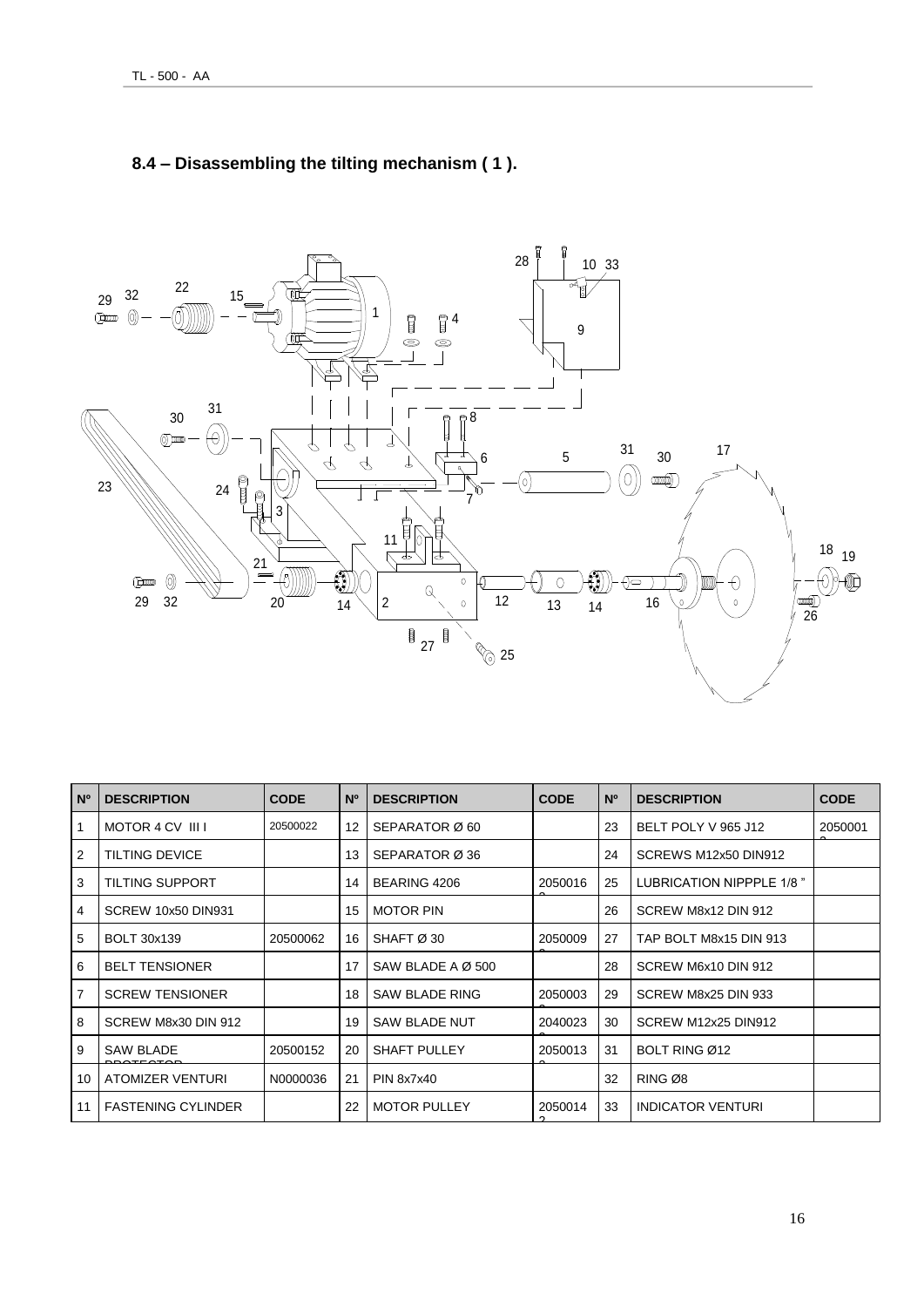

## **8.4 – Disassembling the tilting mechanism ( 1 ).**

| N <sup>o</sup> | <b>DESCRIPTION</b>        | <b>CODE</b> | $N^{\circ}$       | <b>DESCRIPTION</b>            | <b>CODE</b> | <b>N°</b> | <b>DESCRIPTION</b>       | <b>CODE</b> |
|----------------|---------------------------|-------------|-------------------|-------------------------------|-------------|-----------|--------------------------|-------------|
| -1             | MOTOR 4 CV III I          | 20500022    | $12 \overline{ }$ | SEPARATOR Ø 60                |             | 23        | BELT POLY V 965 J12      | 2050001     |
| 2              | <b>TILTING DEVICE</b>     |             | 13                | SEPARATOR Ø 36                |             | 24        | SCREWS M12x50 DIN912     |             |
| 3              | TILTING SUPPORT           |             | 14                | BEARING 4206                  | 2050016     | 25        | LUBRICATION NIPPPLE 1/8" |             |
| 4              | SCREW 10x50 DIN931        |             | 15                | <b>MOTOR PIN</b>              |             | 26        | SCREW M8x12 DIN 912      |             |
| 5              | <b>BOLT 30x139</b>        | 20500062    | 16                | SHAFT Ø 30                    | 2050009     | 27        | TAP BOLT M8x15 DIN 913   |             |
| 6              | <b>BELT TENSIONER</b>     |             | 17                | SAW BLADE A $\varnothing$ 500 |             | 28        | SCREW M6x10 DIN 912      |             |
| $\overline{7}$ | <b>SCREW TENSIONER</b>    |             | 18                | SAW BLADE RING                | 2050003     | 29        | SCREW M8x25 DIN 933      |             |
| 8              | SCREW M8x30 DIN 912       |             | 19                | <b>SAW BLADE NUT</b>          | 2040023     | 30        | SCREW M12x25 DIN912      |             |
| 9              | <b>SAW BLADE</b>          | 20500152    | 20                | SHAFT PULLEY                  | 2050013     | 31        | BOLT RING Ø12            |             |
| 10             | ATOMIZER VENTURI          | N0000036    | 21                | <b>PIN 8x7x40</b>             |             | 32        | RING Ø8                  |             |
| 11             | <b>FASTENING CYLINDER</b> |             | 22                | <b>MOTOR PULLEY</b>           | 2050014     | 33        | <b>INDICATOR VENTURI</b> |             |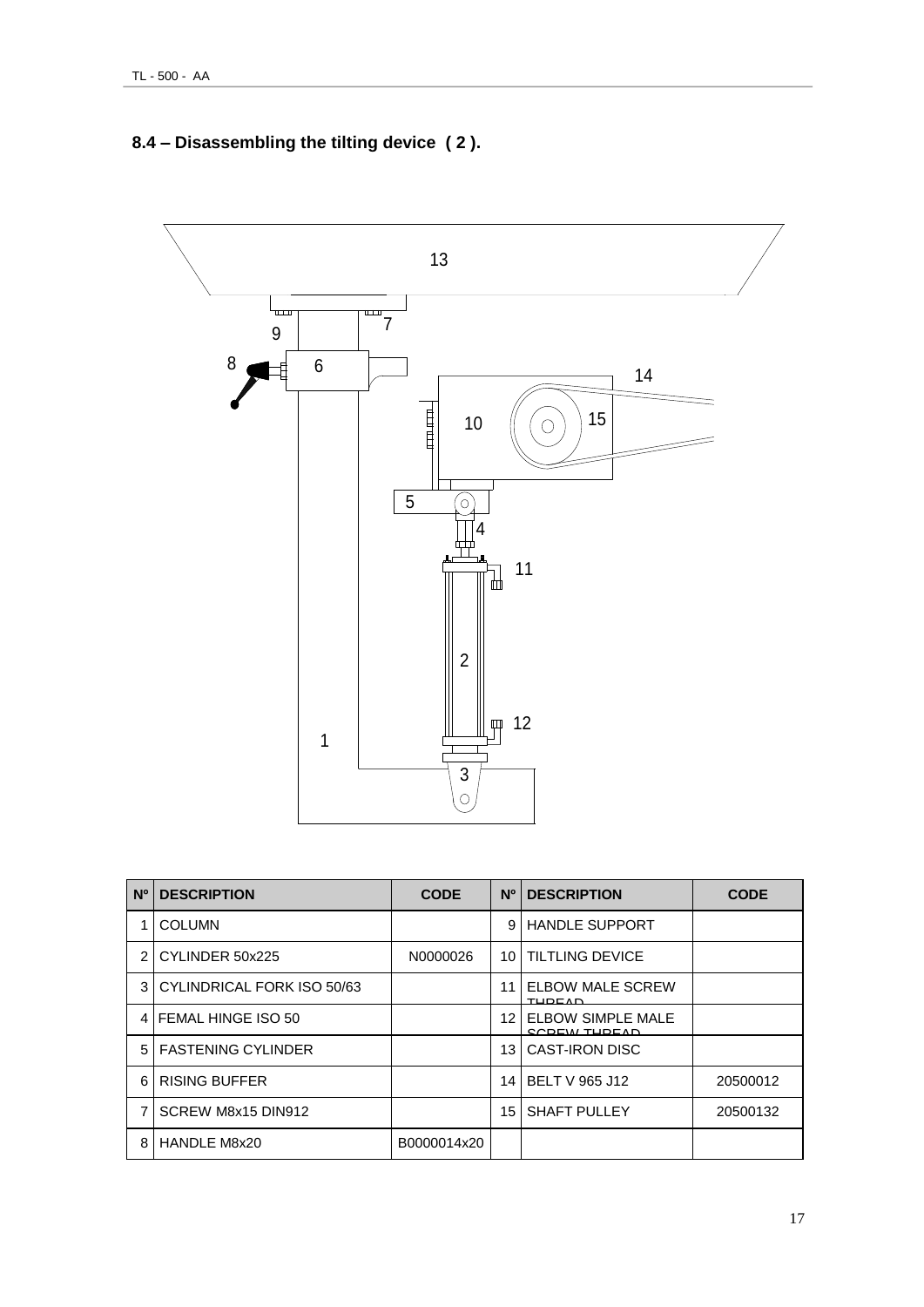## **8.4 – Disassembling the tilting device ( 2 ).**



| N <sub>0</sub> | <b>DESCRIPTION</b>         | <b>CODE</b> | N <sup>o</sup> | <b>DESCRIPTION</b>                              | <b>CODE</b> |
|----------------|----------------------------|-------------|----------------|-------------------------------------------------|-------------|
|                | <b>COLUMN</b>              |             | 9              | <b>HANDLE SUPPORT</b>                           |             |
| $\mathfrak{p}$ | CYLINDER 50x225            | N0000026    | 10             | <b>TILTLING DEVICE</b>                          |             |
| 3              | CYLINDRICAL FORK ISO 50/63 |             | 11             | <b>ELBOW MALE SCREW</b><br>TUDEAD               |             |
| 4              | <b>IFEMAL HINGE ISO 50</b> |             | 12             | <b>ELBOW SIMPLE MALE</b><br><b>CODEM TUDEAN</b> |             |
| 5 <sup>1</sup> | <b>FASTENING CYLINDER</b>  |             | 13             | <b>CAST-IRON DISC</b>                           |             |
| 6              | <b>RISING BUFFER</b>       |             | 14             | <b>BELT V 965 J12</b>                           | 20500012    |
| 7              | SCREW M8x15 DIN912         |             | 15             | <b>SHAFT PULLEY</b>                             | 20500132    |
| 8              | HANDLE M8x20               | B0000014x20 |                |                                                 |             |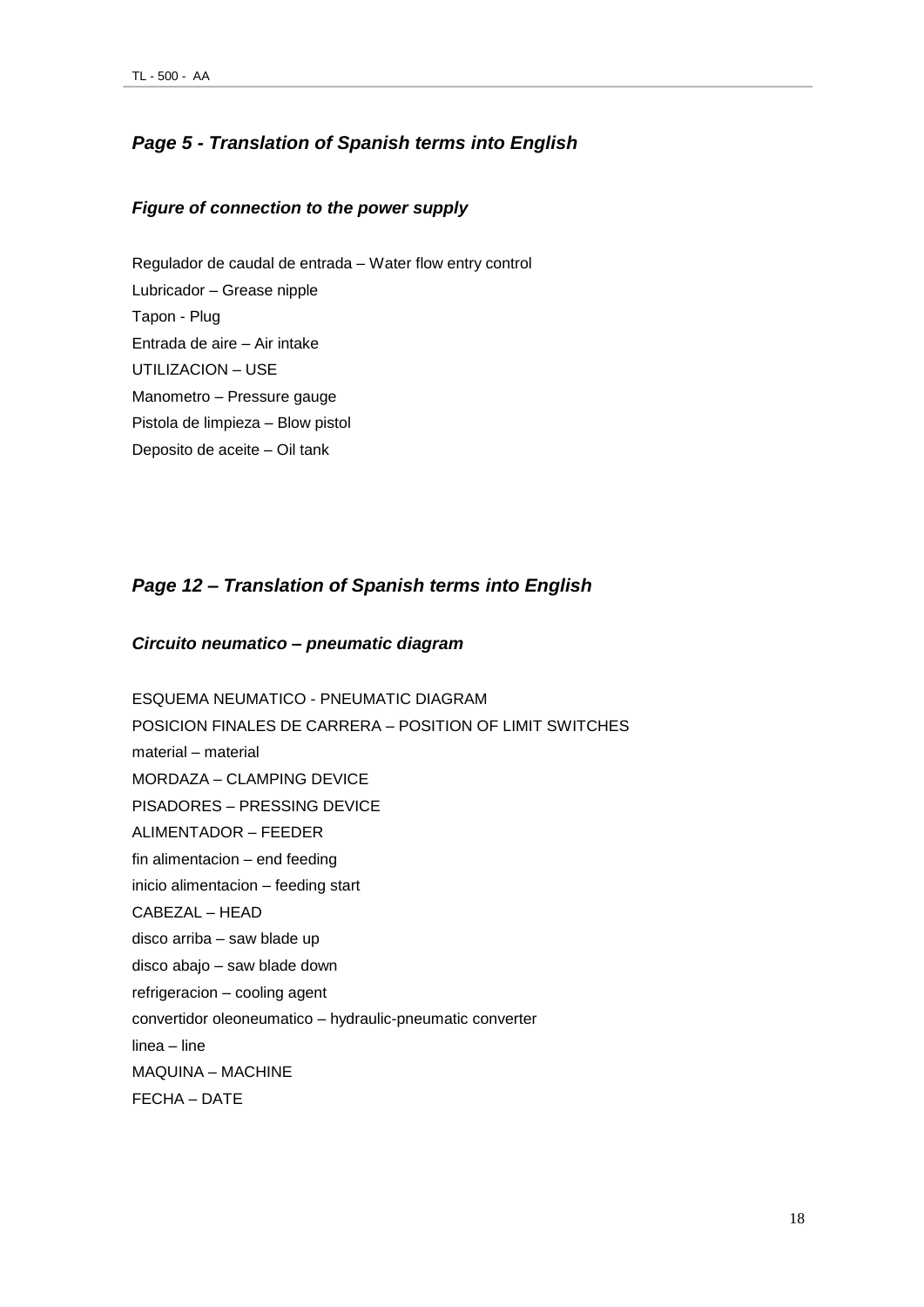#### *Page 5 - Translation of Spanish terms into English*

#### *Figure of connection to the power supply*

Regulador de caudal de entrada – Water flow entry control Lubricador – Grease nipple Tapon - Plug Entrada de aire – Air intake UTILIZACION – USE Manometro – Pressure gauge Pistola de limpieza – Blow pistol Deposito de aceite – Oil tank

#### *Page 12 – Translation of Spanish terms into English*

#### *Circuito neumatico – pneumatic diagram*

ESQUEMA NEUMATICO - PNEUMATIC DIAGRAM POSICION FINALES DE CARRERA – POSITION OF LIMIT SWITCHES material – material MORDAZA – CLAMPING DEVICE PISADORES – PRESSING DEVICE ALIMENTADOR – FEEDER fin alimentacion – end feeding inicio alimentacion – feeding start CABEZAL – HEAD disco arriba – saw blade up disco abajo – saw blade down refrigeracion – cooling agent convertidor oleoneumatico – hydraulic-pneumatic converter linea – line MAQUINA – MACHINE FECHA – DATE